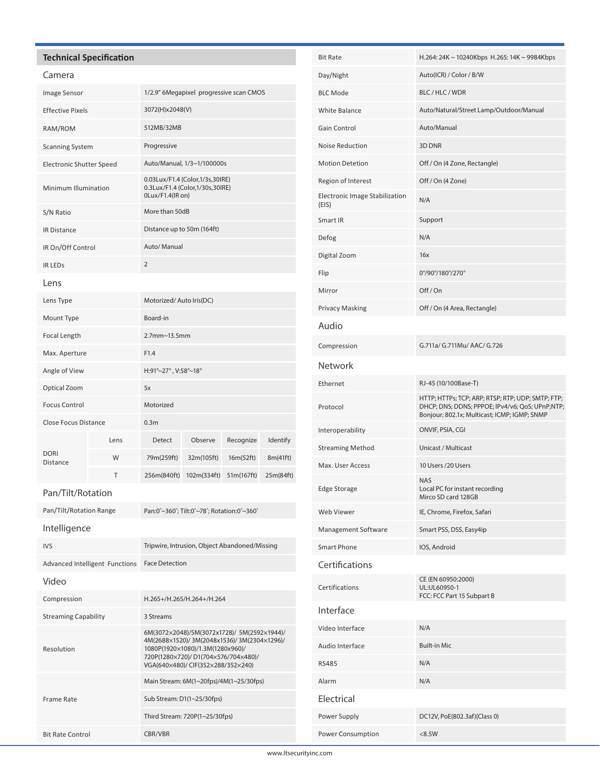## **Technical Specification**

## Camera

| Image Sensor                    |      | 1/2.9" 6Megapixel progressive scan CMOS                                                  |             |            |           |
|---------------------------------|------|------------------------------------------------------------------------------------------|-------------|------------|-----------|
| <b>Effective Pixels</b>         |      | 3072(H)x2048(V)                                                                          |             |            |           |
| RAM/ROM                         |      | 512MB/32MB                                                                               |             |            |           |
| <b>Scanning System</b>          |      | Progressive                                                                              |             |            |           |
| <b>Electronic Shutter Speed</b> |      | Auto/Manual, 1/3~1/100000s                                                               |             |            |           |
| Minimum Illumination            |      | 0.03Lux/F1.4 (Color, 1/3s, 30IRE)<br>0.3Lux/F1.4 (Color,1/30s,30IRE)<br>0Lux/F1.4(IR on) |             |            |           |
| S/N Ratio                       |      | More than 50dB                                                                           |             |            |           |
| <b>IR Distance</b>              |      | Distance up to 50m (164ft)                                                               |             |            |           |
| IR On/Off Control               |      | Auto/ Manual                                                                             |             |            |           |
| <b>IR LEDS</b>                  |      | $\overline{2}$                                                                           |             |            |           |
| Lens                            |      |                                                                                          |             |            |           |
| Lens Type                       |      | Motorized/Auto Iris(DC)                                                                  |             |            |           |
| Mount Type                      |      | Board-in                                                                                 |             |            |           |
| <b>Focal Length</b>             |      | $2.7$ mm~13.5mm                                                                          |             |            |           |
| Max. Aperture                   |      | F1.4                                                                                     |             |            |           |
| Angle of View                   |      | H:91°~27°, V:58°~18°                                                                     |             |            |           |
| Optical Zoom                    |      | 5x                                                                                       |             |            |           |
| <b>Focus Control</b>            |      | Motorized                                                                                |             |            |           |
| <b>Close Focus Distance</b>     |      | 0.3 <sub>m</sub>                                                                         |             |            |           |
|                                 | Lens | <b>Detect</b>                                                                            | Observe     | Recognize  | Identify  |
| <b>DORI</b><br><b>Distance</b>  | W    | 79m(259ft)                                                                               | 32m(105ft)  | 16m(52ft)  | 8m(41ft)  |
|                                 | T    | 256m(840ft)                                                                              | 102m(334ft) | 51m(167ft) | 25m(84ft) |
| Pan/Tilt/Rotation               |      |                                                                                          |             |            |           |
| Pan/Tilt/Rotation Range         |      | Pan:0°~360°; Tilt:0°~78°; Rotation:0°~360°                                               |             |            |           |
| Intelligence                    |      |                                                                                          |             |            |           |
| <b>IVS</b>                      |      | Tripwire, Intrusion, Object Abandoned/Missing                                            |             |            |           |
| Advanced Intelligent Functions  |      | <b>Face Detection</b>                                                                    |             |            |           |

| د ۱۷                           | inpovinc, intrusion, Object Abdituoneu/Iviissing                                                                                                                                                           |  |
|--------------------------------|------------------------------------------------------------------------------------------------------------------------------------------------------------------------------------------------------------|--|
| Advanced Intelligent Functions | <b>Face Detection</b>                                                                                                                                                                                      |  |
| Video                          |                                                                                                                                                                                                            |  |
| Compression                    | H.265+/H.265/H.264+/H.264                                                                                                                                                                                  |  |
| <b>Streaming Capability</b>    | 3 Streams                                                                                                                                                                                                  |  |
| Resolution                     | 6M(3072×2048)/5M(3072x1728)/ 5M(2592×1944)/<br>4M(2688×1520)/3M(2048x1536)/3M(2304×1296)/<br>1080P(1920×1080)/1.3M(1280x960)/<br>720P(1280×720)/D1(704×576/704×480)/<br>VGA(640×480)/ CIF(352×288/352×240) |  |
|                                | Main Stream: 6M(1~20fps)/4M(1~25/30fps)                                                                                                                                                                    |  |
| Frame Rate                     | Sub Stream: D1(1~25/30fps)                                                                                                                                                                                 |  |
|                                | Third Stream: 720P(1~25/30fps)                                                                                                                                                                             |  |
| <b>Bit Rate Control</b>        | CBR/VBR                                                                                                                                                                                                    |  |

| <b>Bit Rate</b>                         | H.264: 24K ~ 10240Kbps H.265: 14K ~ 9984Kbps                                                                                                         |  |  |
|-----------------------------------------|------------------------------------------------------------------------------------------------------------------------------------------------------|--|--|
| Day/Night                               | Auto(ICR) / Color / B/W                                                                                                                              |  |  |
| <b>BLC Mode</b>                         | BLC/HLC/WDR                                                                                                                                          |  |  |
| <b>White Balance</b>                    | Auto/Natural/Street Lamp/Outdoor/Manual                                                                                                              |  |  |
| Gain Control                            | Auto/Manual                                                                                                                                          |  |  |
| <b>Noise Reduction</b>                  | 3D DNR                                                                                                                                               |  |  |
| <b>Motion Detetion</b>                  | Off / On (4 Zone, Rectangle)                                                                                                                         |  |  |
| Region of Interest                      | Off / On (4 Zone)                                                                                                                                    |  |  |
| Electronic Image Stabilization<br>(EIS) | N/A                                                                                                                                                  |  |  |
| Smart IR                                | Support                                                                                                                                              |  |  |
| Defog                                   | N/A                                                                                                                                                  |  |  |
| Digital Zoom                            | 16x                                                                                                                                                  |  |  |
| Flip                                    | 0°/90°/180°/270°                                                                                                                                     |  |  |
| Mirror                                  | Off/On                                                                                                                                               |  |  |
| <b>Privacy Masking</b>                  | Off / On (4 Area, Rectangle)                                                                                                                         |  |  |
| Audio                                   |                                                                                                                                                      |  |  |
| Compression                             | G.711a/ G.711Mu/ AAC/ G.726                                                                                                                          |  |  |
| <b>Network</b>                          |                                                                                                                                                      |  |  |
| Ethernet                                | RJ-45 (10/100Base-T)                                                                                                                                 |  |  |
| Protocol                                | HTTP; HTTPs; TCP; ARP; RTSP; RTP; UDP; SMTP; FTP;<br>DHCP; DNS; DDNS; PPPOE; IPv4/v6; QoS; UPnP;NTP;<br>Bonjour; 802.1x; Multicast; ICMP; IGMP; SNMP |  |  |
| Interoperability                        | ONVIF, PSIA, CGI                                                                                                                                     |  |  |
| <b>Streaming Method</b>                 | Unicast / Multicast                                                                                                                                  |  |  |
| Max. User Access                        | 10 Users /20 Users                                                                                                                                   |  |  |
| <b>Edge Storage</b>                     | <b>NAS</b><br>Local PC for instant recording<br>Mirco SD card 128GB                                                                                  |  |  |
| Web Viewer                              | IE, Chrome, Firefox, Safari                                                                                                                          |  |  |
| Management Software                     | Smart PSS, DSS, Easy4ip                                                                                                                              |  |  |
| Smart Phone                             | IOS, Android                                                                                                                                         |  |  |
| Certifications                          |                                                                                                                                                      |  |  |
| Certifications                          | CE (EN 60950:2000)<br>UL:UL60950-1<br>FCC: FCC Part 15 Subpart B                                                                                     |  |  |
| Interface                               |                                                                                                                                                      |  |  |
| Video Interface                         | N/A                                                                                                                                                  |  |  |
| Audio Interface                         | <b>Built-in Mic</b>                                                                                                                                  |  |  |
| <b>RS485</b>                            | N/A                                                                                                                                                  |  |  |
| Alarm                                   | N/A                                                                                                                                                  |  |  |
| Electrical                              |                                                                                                                                                      |  |  |
| Power Supply                            | DC12V, PoE(802.3af)(Class 0)                                                                                                                         |  |  |
| Power Consumption                       | < 8.5W                                                                                                                                               |  |  |